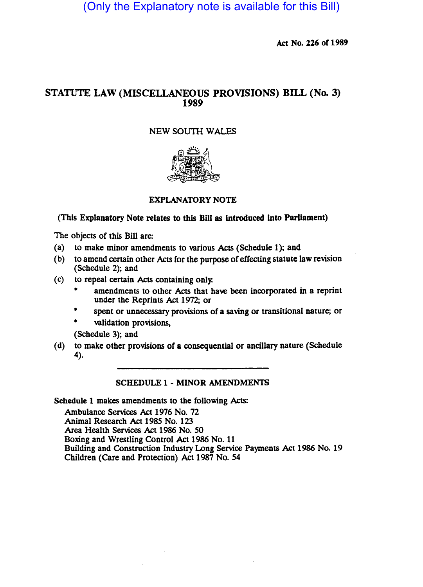(Only the Explanatory note is available for this Bill)

Act No. 226 of 1989

# STATUTE LAW (MISCELLANEOUS PROVISIONS) BILL (No. 3) 1989

## NEW SOUTH WALES



## EXPLANATORY NOTE

## (This Explanatory Note relates to this BlII as Introduced Into Parliament)

The objects of this Bill are:

- (a) to make minor amendments to various Acts (Schedule 1); and
- (b) to amend certain other Acts for the purpose of effecting statute law revision (Schedule 2); and
- (c) to repeal certain Acts containing only.
	- amendments to other Acts that have been incorporated in a reprint under the Reprints Act 1972; or
	- spent or unnecessary provisions of a saving or transitional nature; or
	- validation provisions,

(Schedule 3); and

(d) to make other provisions of a consequential or ancillary nature (Schedule 4).

### SCHEDULE 1 • MINOR AMENDMENTS

Schedule 1 makes amendments to the following Acts:

Ambulance Services Act 1976 No. 72 Animal Research Act 1985 No. 123 Area Health Services Act 1986 No. 50 BOxing and Wrestling Control Act 1986 No. 11 Building and Construction Industry Long Service Payments Act 1986 No. 19 Children (Care and Protection) Act 1987 No. 54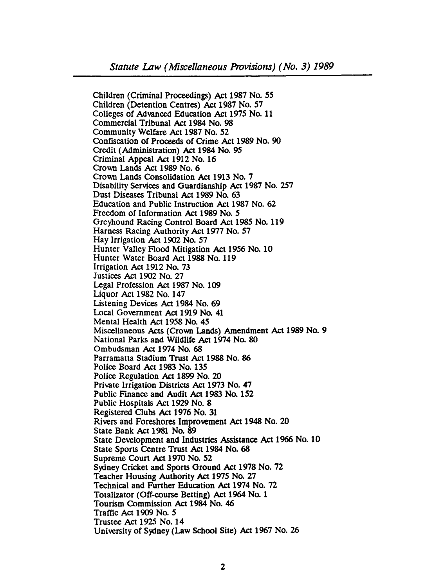Children (Criminal Proceedings) Act 1987 No. 55 Children (Detention Centres) Act 1987 No. 57 Colleges of Advanced Education Act 1975 No. 11 Commercial Tribunal Act 1984 No. 98 Community Welfare Act 1987 No. 52 Confiscation of Proceeds of Crime Act 1989 No. 90 Credit (Administration) Act 1984 No. 95 Criminal Appeal Act 1912 No. 16 Crown Lands Act 1989 No. 6 Crown Lands Consolidation Act 1913 No. 7 Disability Services and Guardianship Act 1987 No. 257 Dust Diseases Tribunal Act 1989 No. 63 Education and Public Instruction Act 1987 No. 62 Freedom of Information Act 1989 No. 5 Greyhound Racing Control Board Act 1985 No. 119 Harness Racing Authority Act 1977 No. 57 Hay Irrigation Act 1902 No. 57 Hunter Valley Flood Mitigation Act 1956 No. 10 Hunter Water Board Act 1988 No. 119 Irrigation Act 1912 No. 73 Justices Act 1902 No. 27 Legal Profession Act 1987 No. 109 Liquor Act 1982 No. 147 Listening Devices Act 1984 No. 69 Local Government Act 1919 No. 41 Mental Health Act 1958 No. 45 Miscellaneous Acts (Crown Lands) Amendment Act 1989 No. 9 National Parks and Wildlife Act 1974 No. 80 Ombudsman Act 1974 No. 68 Parramatta Stadium Trust Act 1988 No. 86 Police Board Act 1983 No. 135 Police Regulation Act 1899 No. 20 Private Irrigation Districts Act 1973 No. 47 Public Finance and Audit Act 1983 No. 152 Public Hospitals Act 1929 No. 8 Registered Clubs Act 1976 No. 31 Rivers and Foreshores Improvement Act 1948 No. 20 State Bank Act 1981 No. 89 State Development and Industries Assistance Act 1966 No. 10 State Sports Centre Trust Act 1984 No. 68 Supreme Court Act 1970 No. 52 Sydney Cricket and Sports Ground Act 1978 No. 72 Teacher Housing Authority Act 1975 No. 27 Technical and Funher Education.Act 1974 No. 72 Totalizator (Off-course Betting) Act 1964 No. 1 Tourism Commission Act 1984 No. 46 Traffic Act 1909 No. 5 Trustee Act 1925 No. 14 University of Sydney (Law School Site) Act 1967 No. 26